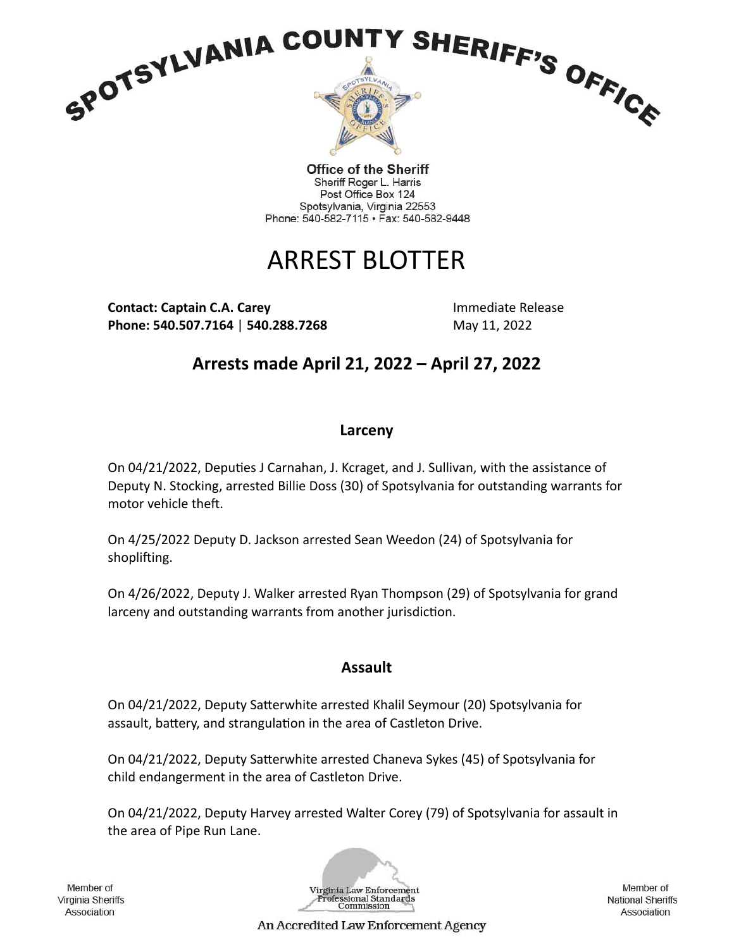

**Office of the Sheriff** Sheriff Roger L. Harris Post Office Box 124 Spotsylvania, Virginia 22553 Phone: 540-582-7115 · Fax: 540-582-9448

# ARREST BLOTTER

**Contact: Captain C.A. Carey Immediate Release Immediate Release Phone: 540.507.7164 | 540.288.7268** May 11, 2022

**Arrests made April 21, 2022 – April 27, 2022**

### **Larceny**

On 04/21/2022, Deputies J Carnahan, J. Kcraget, and J. Sullivan, with the assistance of Deputy N. Stocking, arrested Billie Doss (30) of Spotsylvania for outstanding warrants for motor vehicle theft.

On 4/25/2022 Deputy D. Jackson arrested Sean Weedon (24) of Spotsylvania for shoplifting.

On 4/26/2022, Deputy J. Walker arrested Ryan Thompson (29) of Spotsylvania for grand larceny and outstanding warrants from another jurisdiction.

## **Assault**

On 04/21/2022, Deputy Satterwhite arrested Khalil Seymour (20) Spotsylvania for assault, battery, and strangulation in the area of Castleton Drive.

On 04/21/2022, Deputy Satterwhite arrested Chaneva Sykes (45) of Spotsylvania for child endangerment in the area of Castleton Drive.

On 04/21/2022, Deputy Harvey arrested Walter Corey (79) of Spotsylvania for assault in the area of Pipe Run Lane.

Member of Virginia Sheriffs Association



Member of **National Sheriffs** Association

An Accredited Law Enforcement Agency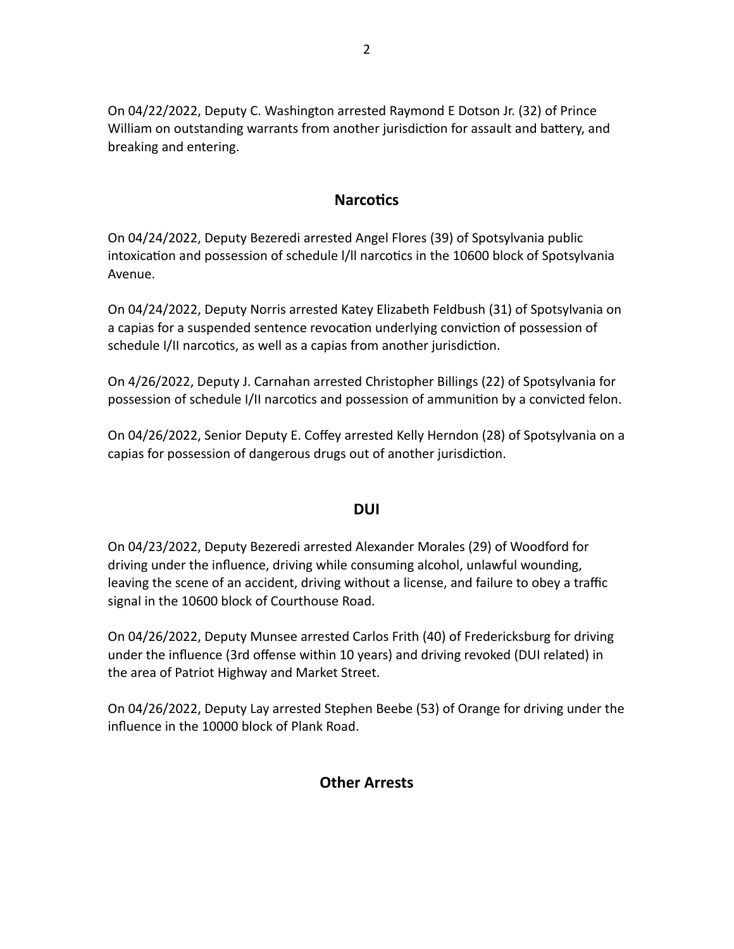On 04/22/2022, Deputy C. Washington arrested Raymond E Dotson Jr. (32) of Prince William on outstanding warrants from another jurisdiction for assault and battery, and breaking and entering.

#### **Narcotics**

On 04/24/2022, Deputy Bezeredi arrested Angel Flores (39) of Spotsylvania public intoxication and possession of schedule l/ll narcotics in the 10600 block of Spotsylvania Avenue.

On 04/24/2022, Deputy Norris arrested Katey Elizabeth Feldbush (31) of Spotsylvania on a capias for a suspended sentence revocation underlying conviction of possession of schedule I/II narcotics, as well as a capias from another jurisdiction.

On 4/26/2022, Deputy J. Carnahan arrested Christopher Billings (22) of Spotsylvania for possession of schedule I/II narcotics and possession of ammunition by a convicted felon.

On 04/26/2022, Senior Deputy E. Coffey arrested Kelly Herndon (28) of Spotsylvania on a capias for possession of dangerous drugs out of another jurisdiction.

#### **DUI**

On 04/23/2022, Deputy Bezeredi arrested Alexander Morales (29) of Woodford for driving under the influence, driving while consuming alcohol, unlawful wounding, leaving the scene of an accident, driving without a license, and failure to obey a traffic signal in the 10600 block of Courthouse Road.

On 04/26/2022, Deputy Munsee arrested Carlos Frith (40) of Fredericksburg for driving under the influence (3rd offense within 10 years) and driving revoked (DUI related) in the area of Patriot Highway and Market Street.

On 04/26/2022, Deputy Lay arrested Stephen Beebe (53) of Orange for driving under the influence in the 10000 block of Plank Road.

#### **Other Arrests**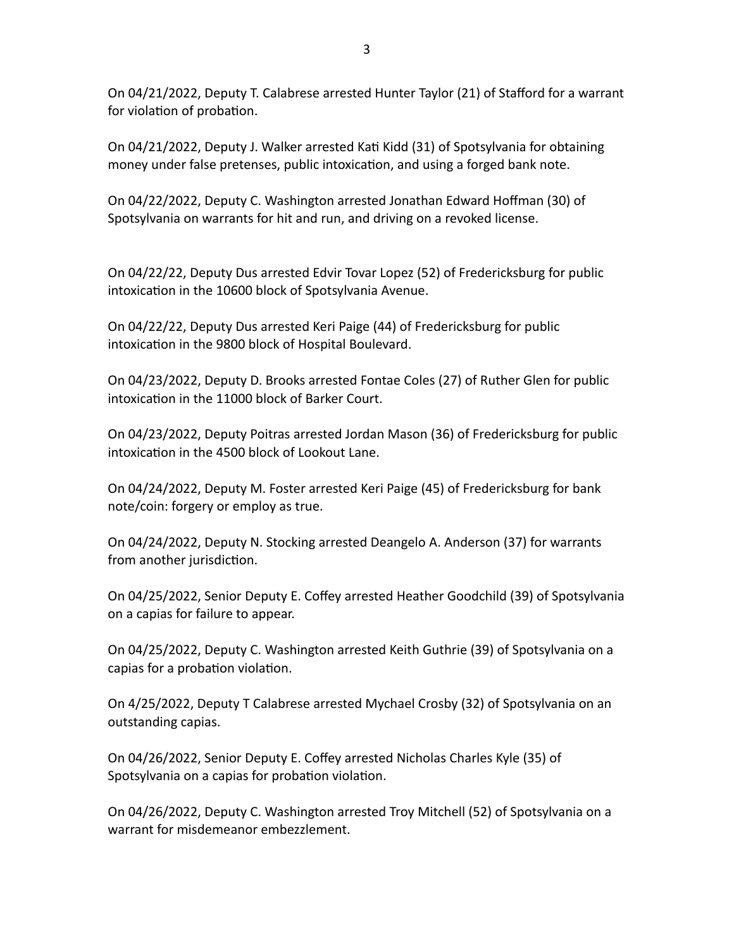On 04/21/2022, Deputy T. Calabrese arrested Hunter Taylor (21) of Stafford for a warrant for violation of probation.

On 04/21/2022, Deputy J. Walker arrested Kati Kidd (31) of Spotsylvania for obtaining money under false pretenses, public intoxication, and using a forged bank note.

On 04/22/2022, Deputy C. Washington arrested Jonathan Edward Hoffman (30) of Spotsylvania on warrants for hit and run, and driving on a revoked license.

On 04/22/22, Deputy Dus arrested Edvir Tovar Lopez (52) of Fredericksburg for public intoxication in the 10600 block of Spotsylvania Avenue.

On 04/22/22, Deputy Dus arrested Keri Paige (44) of Fredericksburg for public intoxication in the 9800 block of Hospital Boulevard.

On 04/23/2022, Deputy D. Brooks arrested Fontae Coles (27) of Ruther Glen for public intoxication in the 11000 block of Barker Court.

On 04/23/2022, Deputy Poitras arrested Jordan Mason (36) of Fredericksburg for public intoxication in the 4500 block of Lookout Lane.

On 04/24/2022, Deputy M. Foster arrested Keri Paige (45) of Fredericksburg for bank note/coin: forgery or employ as true.

On 04/24/2022, Deputy N. Stocking arrested Deangelo A. Anderson (37) for warrants from another jurisdiction.

On 04/25/2022, Senior Deputy E. Coffey arrested Heather Goodchild (39) of Spotsylvania on a capias for failure to appear.

On 04/25/2022, Deputy C. Washington arrested Keith Guthrie (39) of Spotsylvania on a capias for a probation violation.

On 4/25/2022, Deputy T Calabrese arrested Mychael Crosby (32) of Spotsylvania on an outstanding capias.

On 04/26/2022, Senior Deputy E. Coffey arrested Nicholas Charles Kyle (35) of Spotsylvania on a capias for probation violation.

On 04/26/2022, Deputy C. Washington arrested Troy Mitchell (52) of Spotsylvania on a warrant for misdemeanor embezzlement.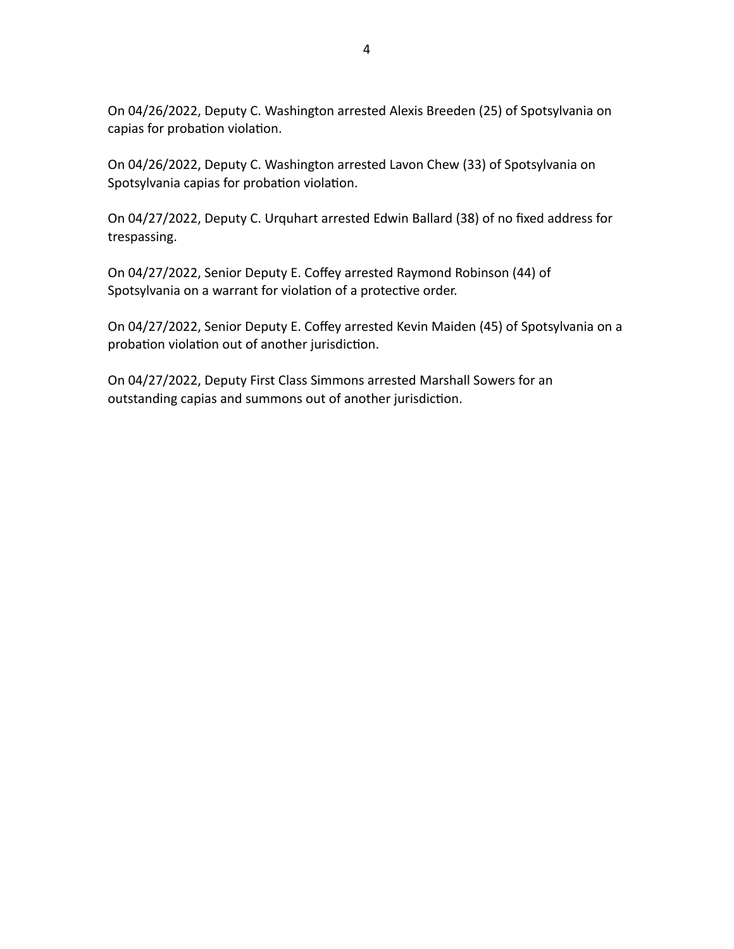On 04/26/2022, Deputy C. Washington arrested Alexis Breeden (25) of Spotsylvania on capias for probation violation.

On 04/26/2022, Deputy C. Washington arrested Lavon Chew (33) of Spotsylvania on Spotsylvania capias for probation violation.

On 04/27/2022, Deputy C. Urquhart arrested Edwin Ballard (38) of no fixed address for trespassing.

On 04/27/2022, Senior Deputy E. Coffey arrested Raymond Robinson (44) of Spotsylvania on a warrant for violation of a protective order.

On 04/27/2022, Senior Deputy E. Coffey arrested Kevin Maiden (45) of Spotsylvania on a probation violation out of another jurisdiction.

On 04/27/2022, Deputy First Class Simmons arrested Marshall Sowers for an outstanding capias and summons out of another jurisdiction.